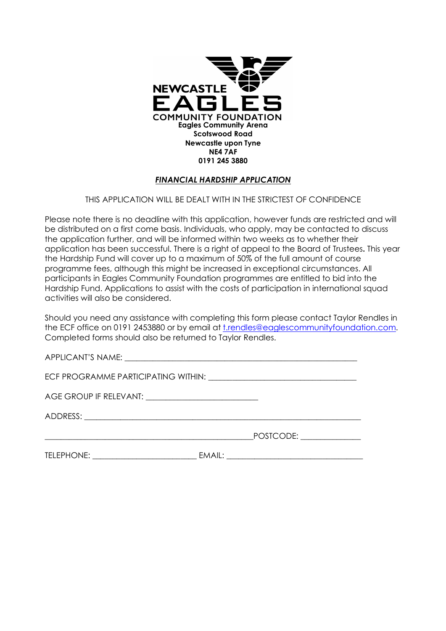

## FINANCIAL HARDSHIP APPLICATION

## THIS APPLICATION WILL BE DEALT WITH IN THE STRICTEST OF CONFIDENCE

Please note there is no deadline with this application, however funds are restricted and will be distributed on a first come basis. Individuals, who apply, may be contacted to discuss the application further, and will be informed within two weeks as to whether their application has been successful. There is a right of appeal to the Board of Trustees. This year the Hardship Fund will cover up to a maximum of 50% of the full amount of course programme fees, although this might be increased in exceptional circumstances. All participants in Eagles Community Foundation programmes are entitled to bid into the Hardship Fund. Applications to assist with the costs of participation in international squad activities will also be considered.

Should you need any assistance with completing this form please contact Taylor Rendles in the ECF office on 0191 2453880 or by email at t.rendles@eaglescommunityfoundation.com. Completed forms should also be returned to Taylor Rendles.

| AGE GROUP IF RELEVANT: ______________________________ |  |
|-------------------------------------------------------|--|
|                                                       |  |
|                                                       |  |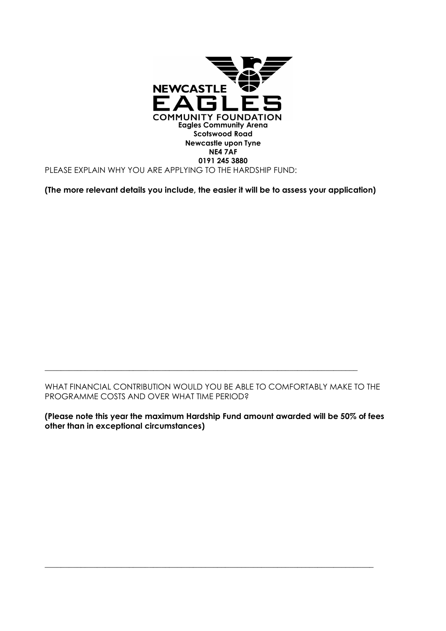

(The more relevant details you include, the easier it will be to assess your application)

WHAT FINANCIAL CONTRIBUTION WOULD YOU BE ABLE TO COMFORTABLY MAKE TO THE PROGRAMME COSTS AND OVER WHAT TIME PERIOD?

\_\_\_\_\_\_\_\_\_\_\_\_\_\_\_\_\_\_\_\_\_\_\_\_\_\_\_\_\_\_\_\_\_\_\_\_\_\_\_\_\_\_\_\_\_\_\_\_\_\_\_\_\_\_\_\_\_\_\_\_\_\_\_\_\_\_\_\_\_\_\_\_\_\_\_\_\_\_

(Please note this year the maximum Hardship Fund amount awarded will be 50% of fees other than in exceptional circumstances)

\_\_\_\_\_\_\_\_\_\_\_\_\_\_\_\_\_\_\_\_\_\_\_\_\_\_\_\_\_\_\_\_\_\_\_\_\_\_\_\_\_\_\_\_\_\_\_\_\_\_\_\_\_\_\_\_\_\_\_\_\_\_\_\_\_\_\_\_\_\_\_\_\_\_\_\_\_\_\_\_\_\_